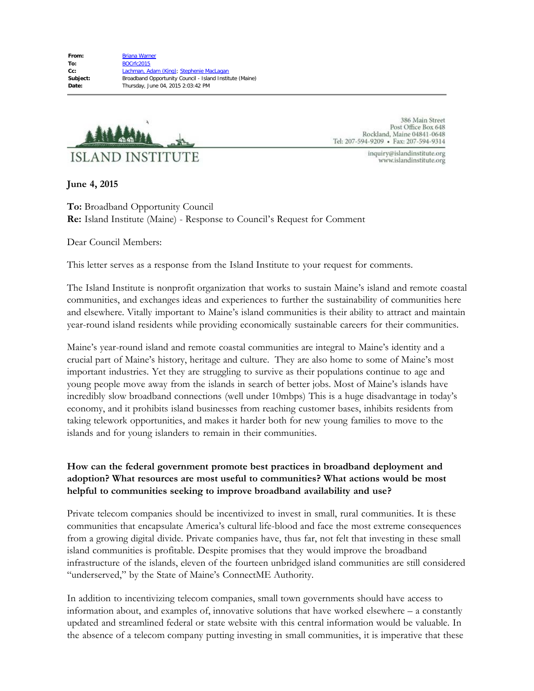

386 Main Street Post Office Box 648 Rockland, Maine 04841-0648 Tel: 207-594-9209 · Fax: 207-594-9314

> inquiry@islandinstitute.org www.islandinstitute.org

**June 4, 2015**

**To:** Broadband Opportunity Council **Re:** Island Institute (Maine) - Response to Council's Request for Comment

Dear Council Members:

This letter serves as a response from the Island Institute to your request for comments.

The Island Institute is nonprofit organization that works to sustain Maine's island and remote coastal communities, and exchanges ideas and experiences to further the sustainability of communities here and elsewhere. Vitally important to Maine's island communities is their ability to attract and maintain year-round island residents while providing economically sustainable careers for their communities.

Maine's year-round island and remote coastal communities are integral to Maine's identity and a crucial part of Maine's history, heritage and culture. They are also home to some of Maine's most important industries. Yet they are struggling to survive as their populations continue to age and young people move away from the islands in search of better jobs. Most of Maine's islands have incredibly slow broadband connections (well under 10mbps) This is a huge disadvantage in today's economy, and it prohibits island businesses from reaching customer bases, inhibits residents from taking telework opportunities, and makes it harder both for new young families to move to the islands and for young islanders to remain in their communities.

## **How can the federal government promote best practices in broadband deployment and adoption? What resources are most useful to communities? What actions would be most helpful to communities seeking to improve broadband availability and use?**

Private telecom companies should be incentivized to invest in small, rural communities. It is these communities that encapsulate America's cultural life-blood and face the most extreme consequences from a growing digital divide. Private companies have, thus far, not felt that investing in these small island communities is profitable. Despite promises that they would improve the broadband infrastructure of the islands, eleven of the fourteen unbridged island communities are still considered "underserved," by the State of Maine's ConnectME Authority.

In addition to incentivizing telecom companies, small town governments should have access to information about, and examples of, innovative solutions that have worked elsewhere – a constantly updated and streamlined federal or state website with this central information would be valuable. In the absence of a telecom company putting investing in small communities, it is imperative that these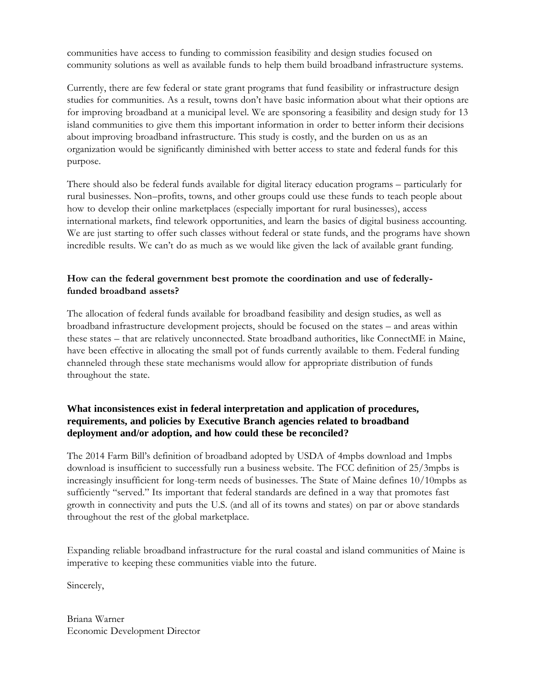communities have access to funding to commission feasibility and design studies focused on community solutions as well as available funds to help them build broadband infrastructure systems.

Currently, there are few federal or state grant programs that fund feasibility or infrastructure design studies for communities. As a result, towns don't have basic information about what their options are for improving broadband at a municipal level. We are sponsoring a feasibility and design study for 13 island communities to give them this important information in order to better inform their decisions about improving broadband infrastructure. This study is costly, and the burden on us as an organization would be significantly diminished with better access to state and federal funds for this purpose.

There should also be federal funds available for digital literacy education programs – particularly for rural businesses. Non–profits, towns, and other groups could use these funds to teach people about how to develop their online marketplaces (especially important for rural businesses), access international markets, find telework opportunities, and learn the basics of digital business accounting. We are just starting to offer such classes without federal or state funds, and the programs have shown incredible results. We can't do as much as we would like given the lack of available grant funding.

## **How can the federal government best promote the coordination and use of federallyfunded broadband assets?**

The allocation of federal funds available for broadband feasibility and design studies, as well as broadband infrastructure development projects, should be focused on the states – and areas within these states – that are relatively unconnected. State broadband authorities, like ConnectME in Maine, have been effective in allocating the small pot of funds currently available to them. Federal funding channeled through these state mechanisms would allow for appropriate distribution of funds throughout the state.

## **What inconsistences exist in federal interpretation and application of procedures, requirements, and policies by Executive Branch agencies related to broadband deployment and/or adoption, and how could these be reconciled?**

The 2014 Farm Bill's definition of broadband adopted by USDA of 4mpbs download and 1mpbs download is insufficient to successfully run a business website. The FCC definition of 25/3mpbs is increasingly insufficient for long-term needs of businesses. The State of Maine defines 10/10mpbs as sufficiently "served." Its important that federal standards are defined in a way that promotes fast growth in connectivity and puts the U.S. (and all of its towns and states) on par or above standards throughout the rest of the global marketplace.

Expanding reliable broadband infrastructure for the rural coastal and island communities of Maine is imperative to keeping these communities viable into the future.

Sincerely,

Briana Warner Economic Development Director